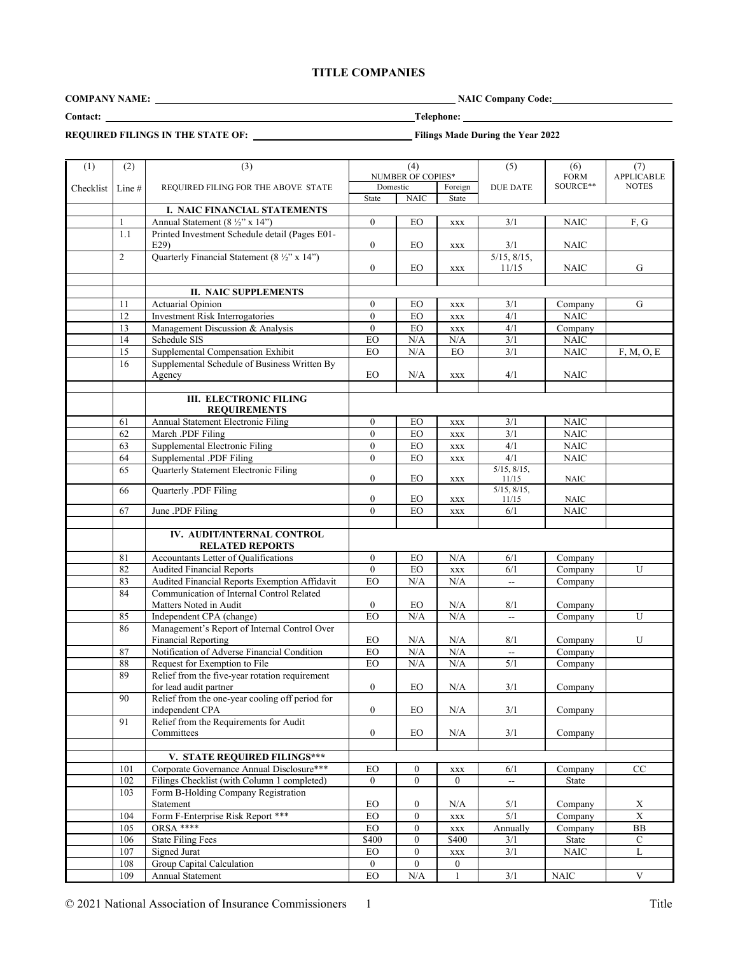## **TITLE COMPANIES**

**COMPANY NAME:** NAIC Company Code:

**Contact: Telephone:** 

**REQUIRED FILINGS IN THE STATE OF:** Filings Made During the Year 2022

| (1)       | (2)            | (3)                                                                             |                  | (4)                      |                       | (5)                       | (6)                    | (7)               |
|-----------|----------------|---------------------------------------------------------------------------------|------------------|--------------------------|-----------------------|---------------------------|------------------------|-------------------|
|           |                |                                                                                 |                  | <b>NUMBER OF COPIES*</b> |                       |                           | <b>FORM</b>            | <b>APPLICABLE</b> |
| Checklist | Line #         | REQUIRED FILING FOR THE ABOVE STATE                                             | Domestic         |                          | Foreign               | <b>DUE DATE</b>           | SOURCE**               | <b>NOTES</b>      |
|           |                | I. NAIC FINANCIAL STATEMENTS                                                    | <b>State</b>     | <b>NAIC</b>              | State                 |                           |                        |                   |
|           |                | Annual Statement (8 1/2" x 14")                                                 | $\Omega$         | EO                       | <b>XXX</b>            | 3/1                       | <b>NAIC</b>            | F, G              |
|           | 1.1            | Printed Investment Schedule detail (Pages E01-                                  |                  |                          |                       |                           |                        |                   |
|           |                | E29                                                                             | $\overline{0}$   | EO                       | <b>XXX</b>            | 3/1                       | <b>NAIC</b>            |                   |
|           | $\overline{2}$ | Quarterly Financial Statement (8 ½" x 14")                                      |                  |                          |                       | 5/15, 8/15,               |                        |                   |
|           |                |                                                                                 | $\boldsymbol{0}$ | EO                       | $\mathbf{XXX}$        | 11/15                     | <b>NAIC</b>            | G                 |
|           |                | <b>II. NAIC SUPPLEMENTS</b>                                                     |                  |                          |                       |                           |                        |                   |
|           | 11             | Actuarial Opinion                                                               | $\mathbf{0}$     |                          |                       |                           |                        | G                 |
|           | 12             | <b>Investment Risk Interrogatories</b>                                          | $\theta$         | EO<br>EO                 | XXX<br>$\mathbf{XXX}$ | 3/1<br>4/1                | Company<br><b>NAIC</b> |                   |
|           | 13             | Management Discussion & Analysis                                                | $\mathbf{0}$     | EO                       | $\mathbf{XXX}$        | 4/1                       | Company                |                   |
|           | 14             | Schedule SIS                                                                    | EO               | $\rm N/A$                | $\rm N/A$             | 3/1                       | <b>NAIC</b>            |                   |
|           | 15             | Supplemental Compensation Exhibit                                               | EO               | N/A                      | EO                    | 3/1                       | $\rm NAIC$             | F, M, O, E        |
|           | 16             | Supplemental Schedule of Business Written By                                    |                  |                          |                       |                           |                        |                   |
|           |                | Agency                                                                          | EO               | N/A                      | $\mathbf{XXX}$        | 4/1                       | <b>NAIC</b>            |                   |
|           |                |                                                                                 |                  |                          |                       |                           |                        |                   |
|           |                | <b>III. ELECTRONIC FILING</b>                                                   |                  |                          |                       |                           |                        |                   |
|           |                | <b>REQUIREMENTS</b>                                                             |                  |                          |                       |                           |                        |                   |
|           | 61             | Annual Statement Electronic Filing                                              | $\overline{0}$   | EO                       | <b>XXX</b>            | 3/1                       | <b>NAIC</b>            |                   |
|           | 62             | March .PDF Filing                                                               | $\overline{0}$   | EO                       | $\mathbf{XXX}$        | 3/1                       | <b>NAIC</b>            |                   |
|           | 63             | Supplemental Electronic Filing                                                  | $\mathbf{0}$     | EO                       | <b>XXX</b>            | 4/1                       | <b>NAIC</b>            |                   |
|           | 64             | Supplemental .PDF Filing                                                        | $\overline{0}$   | EO                       | $\mathbf{XXX}$        | 4/1                       | <b>NAIC</b>            |                   |
|           | 65             | Quarterly Statement Electronic Filing                                           | $\overline{0}$   | EO                       |                       | $5/15$ , $8/15$ ,         |                        |                   |
|           |                |                                                                                 |                  |                          | XXX                   | 11/15<br>5/15, 8/15,      | NAIC                   |                   |
|           | 66             | Quarterly .PDF Filing                                                           | $\boldsymbol{0}$ | EO                       | XXX                   | 11/15                     | NAIC                   |                   |
|           | 67             | June .PDF Filing                                                                | $\theta$         | EO                       | $\mathbf{XXX}$        | 6/1                       | <b>NAIC</b>            |                   |
|           |                |                                                                                 |                  |                          |                       |                           |                        |                   |
|           |                | IV. AUDIT/INTERNAL CONTROL<br><b>RELATED REPORTS</b>                            |                  |                          |                       |                           |                        |                   |
|           | 81             | Accountants Letter of Qualifications                                            | $\overline{0}$   | EO                       | N/A                   | 6/1                       | Company                |                   |
|           | 82             | <b>Audited Financial Reports</b>                                                | $\theta$         | EO                       | <b>XXX</b>            | 6/1                       | Company                | U                 |
|           | 83             | Audited Financial Reports Exemption Affidavit                                   | EO               | N/A                      | N/A                   | $\mathbb{Z}^{\mathbb{Z}}$ | Company                |                   |
|           | 84             | Communication of Internal Control Related                                       |                  |                          |                       |                           |                        |                   |
|           |                | Matters Noted in Audit                                                          | $\overline{0}$   | EO                       | N/A                   | 8/1                       | Company                |                   |
|           | 85             | Independent CPA (change)                                                        | EO               | N/A                      | $\rm N/A$             | $\overline{\phantom{a}}$  | Company                | U                 |
|           | 86             | Management's Report of Internal Control Over                                    |                  |                          |                       |                           |                        |                   |
|           |                | <b>Financial Reporting</b><br>Notification of Adverse Financial Condition       | EO               | N/A<br>N/A               | N/A<br>N/A            | 8/1                       | Company                | U                 |
|           | 87             |                                                                                 | EO<br>EO         | N/A                      |                       | --<br>5/1                 | Company<br>Company     |                   |
|           | 88<br>89       | Request for Exemption to File<br>Relief from the five-year rotation requirement |                  |                          | $\rm N/A$             |                           |                        |                   |
|           |                | for lead audit partner                                                          | $\boldsymbol{0}$ | EO                       | N/A                   | 3/1                       | Company                |                   |
|           | $90\,$         | Relief from the one-year cooling off period for                                 |                  |                          |                       |                           |                        |                   |
|           |                | independent CPA                                                                 | $\mathbf{0}$     | EO                       | $\rm N/A$             | 3/1                       | Company                |                   |
|           | 91             | Relief from the Requirements for Audit                                          |                  |                          |                       |                           |                        |                   |
|           |                | Committees                                                                      | $\overline{0}$   | EO                       | N/A                   | 3/1                       | Company                |                   |
|           |                |                                                                                 |                  |                          |                       |                           |                        |                   |
|           |                | V. STATE REQUIRED FILINGS***                                                    |                  |                          |                       |                           |                        |                   |
|           | 101            | Corporate Governance Annual Disclosure***                                       | EO               | $\mathbf{0}$             | XXX                   | 6/1                       | Company                | $\rm CC$          |
|           | 102            | Filings Checklist (with Column 1 completed)                                     | $\overline{0}$   | $\overline{0}$           | $\overline{0}$        | $\overline{\phantom{a}}$  | State                  |                   |
|           | 103            | Form B-Holding Company Registration<br>Statement                                | EO               | $\boldsymbol{0}$         | N/A                   | 5/1                       | Company                | X                 |
|           | 104            | Form F-Enterprise Risk Report ***                                               | ${\rm EO}$       | $\boldsymbol{0}$         | $\mathbf{XXX}$        | 5/1                       | Company                | $\mathbf X$       |
|           | 105            | ORSA ****                                                                       | <b>EO</b>        | $\boldsymbol{0}$         | <b>XXX</b>            | Annually                  | Company                | ${\bf BB}$        |
|           | 106            | <b>State Filing Fees</b>                                                        | \$400            | $\boldsymbol{0}$         | $\overline{$}400$     | 3/1                       | State                  | $\mathsf{C}$      |
|           | 107            | Signed Jurat                                                                    | EO               | $\mathbf{0}$             | $\mathbf{XXX}$        | 3/1                       | <b>NAIC</b>            | L                 |
|           | 108            | Group Capital Calculation                                                       | $\overline{0}$   | $\boldsymbol{0}$         | $\boldsymbol{0}$      |                           |                        |                   |
|           | 109            | Annual Statement                                                                | EO               | $\rm N/A$                | 1                     | 3/1                       | $\rm N AIC$            | $\mathbf V$       |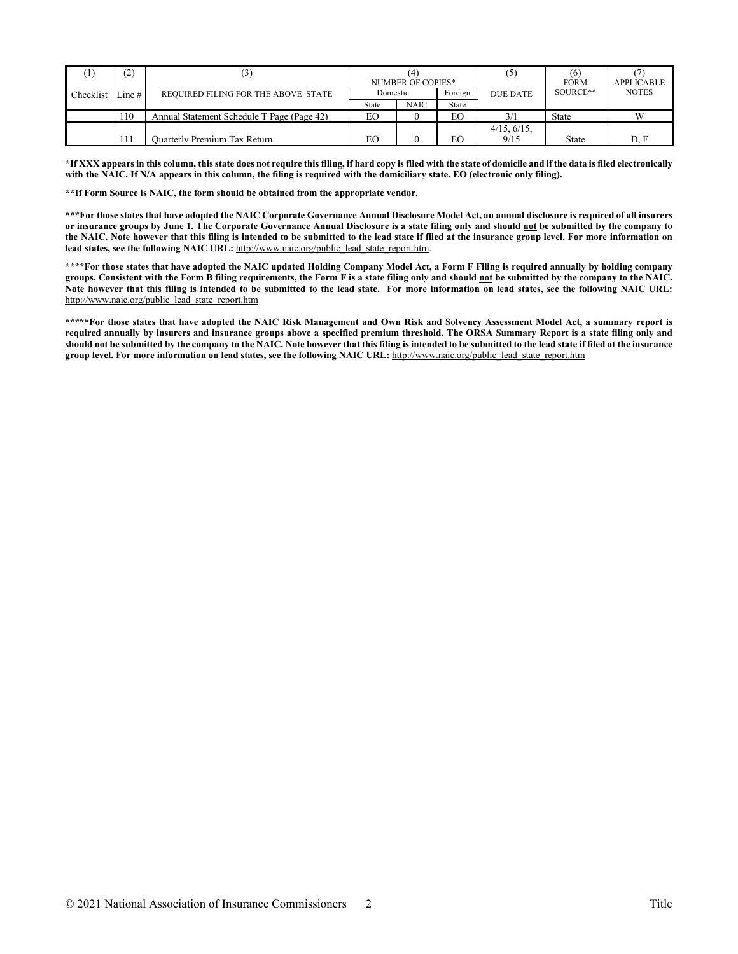|                    | (2) | $\mathfrak{z}$                             |              | NUMBER OF COPIES* |         | (5              | <b>FORM</b>  | <b>APPLICABLE</b> |
|--------------------|-----|--------------------------------------------|--------------|-------------------|---------|-----------------|--------------|-------------------|
| Checklist Line $#$ |     | REQUIRED FILING FOR THE ABOVE STATE        | Domestic     |                   | Foreign | <b>DUE DATE</b> | SOURCE**     | <b>NOTES</b>      |
|                    |     |                                            | <b>State</b> | <b>NAIC</b>       | State   |                 |              |                   |
|                    | 110 | Annual Statement Schedule T Page (Page 42) | EО           |                   | EО      | 3/1             | State        |                   |
|                    |     |                                            |              |                   |         | 4/15, 6/15.     |              |                   |
|                    | 111 | Ouarterly Premium Tax Return               | EО           |                   | EО      | 9/15            | <b>State</b> | D. F              |

**\*If XXX appears in this column, this state does not require this filing, if hard copy is filed with the state of domicile and if the data is filed electronically with the NAIC. If N/A appears in this column, the filing is required with the domiciliary state. EO (electronic only filing).**

**\*\*If Form Source is NAIC, the form should be obtained from the appropriate vendor.** 

**\*\*\*For those states that have adopted the NAIC Corporate Governance Annual Disclosure Model Act, an annual disclosure is required of all insurers or insurance groups by June 1. The Corporate Governance Annual Disclosure is a state filing only and should not be submitted by the company to the NAIC. Note however that this filing is intended to be submitted to the lead state if filed at the insurance group level. For more information on lead states, see the following NAIC URL:** [http://www.naic.org/public\\_lead\\_state\\_report.htm.](http://www.naic.org/public_lead_state_report.htm)

**\*\*\*\*For those states that have adopted the NAIC updated Holding Company Model Act, a Form F Filing is required annually by holding company groups. Consistent with the Form B filing requirements, the Form F is a state filing only and should not be submitted by the company to the NAIC. Note however that this filing is intended to be submitted to the lead state. For more information on lead states, see the following NAIC URL:** [http://www.naic.org/public\\_lead\\_state\\_report.htm](http://www.naic.org/public_lead_state_report.htm)

**\*\*\*\*\*For those states that have adopted the NAIC Risk Management and Own Risk and Solvency Assessment Model Act, a summary report is required annually by insurers and insurance groups above a specified premium threshold. The ORSA Summary Report is a state filing only and should not be submitted by the company to the NAIC. Note however that this filing is intended to be submitted to the lead state if filed at the insurance group level. For more information on lead states, see the following NAIC URL:** [http://www.naic.org/public\\_lead\\_state\\_report.htm](http://www.naic.org/public_lead_state_report.htm)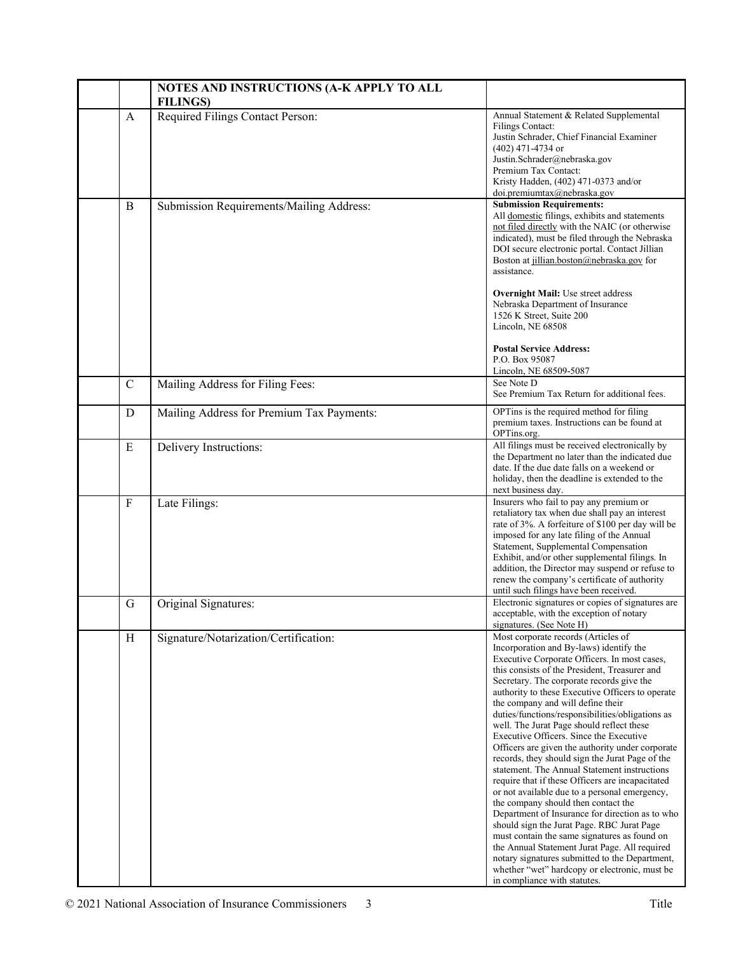|               | NOTES AND INSTRUCTIONS (A-K APPLY TO ALL<br><b>FILINGS</b> ) |                                                                                                                                                                                                                                                                                                                                                                                                                                                                                                                                                                                                                                                                                                                                                                                                                                                                                                                                                                                                                                                                                                           |
|---------------|--------------------------------------------------------------|-----------------------------------------------------------------------------------------------------------------------------------------------------------------------------------------------------------------------------------------------------------------------------------------------------------------------------------------------------------------------------------------------------------------------------------------------------------------------------------------------------------------------------------------------------------------------------------------------------------------------------------------------------------------------------------------------------------------------------------------------------------------------------------------------------------------------------------------------------------------------------------------------------------------------------------------------------------------------------------------------------------------------------------------------------------------------------------------------------------|
| A             | Required Filings Contact Person:                             | Annual Statement & Related Supplemental<br><b>Filings Contact:</b><br>Justin Schrader, Chief Financial Examiner<br>(402) 471-4734 or<br>Justin.Schrader@nebraska.gov<br>Premium Tax Contact:<br>Kristy Hadden, (402) 471-0373 and/or<br>doi.premiumtax@nebraska.gov                                                                                                                                                                                                                                                                                                                                                                                                                                                                                                                                                                                                                                                                                                                                                                                                                                       |
| B             | Submission Requirements/Mailing Address:                     | <b>Submission Requirements:</b><br>All domestic filings, exhibits and statements<br>not filed directly with the NAIC (or otherwise<br>indicated), must be filed through the Nebraska<br>DOI secure electronic portal. Contact Jillian<br>Boston at jillian.boston@nebraska.gov for<br>assistance.<br><b>Overnight Mail:</b> Use street address<br>Nebraska Department of Insurance<br>1526 K Street, Suite 200<br>Lincoln, NE 68508<br><b>Postal Service Address:</b><br>P.O. Box 95087<br>Lincoln, NE 68509-5087                                                                                                                                                                                                                                                                                                                                                                                                                                                                                                                                                                                         |
| $\mathcal{C}$ | Mailing Address for Filing Fees:                             | See Note D<br>See Premium Tax Return for additional fees.                                                                                                                                                                                                                                                                                                                                                                                                                                                                                                                                                                                                                                                                                                                                                                                                                                                                                                                                                                                                                                                 |
| D             | Mailing Address for Premium Tax Payments:                    | OPTins is the required method for filing<br>premium taxes. Instructions can be found at<br>OPTins.org.                                                                                                                                                                                                                                                                                                                                                                                                                                                                                                                                                                                                                                                                                                                                                                                                                                                                                                                                                                                                    |
| ${\bf E}$     | Delivery Instructions:                                       | All filings must be received electronically by<br>the Department no later than the indicated due<br>date. If the due date falls on a weekend or<br>holiday, then the deadline is extended to the<br>next business day.                                                                                                                                                                                                                                                                                                                                                                                                                                                                                                                                                                                                                                                                                                                                                                                                                                                                                    |
| $\mathbf{F}$  | Late Filings:                                                | Insurers who fail to pay any premium or<br>retaliatory tax when due shall pay an interest<br>rate of 3%. A forfeiture of \$100 per day will be<br>imposed for any late filing of the Annual<br>Statement, Supplemental Compensation<br>Exhibit, and/or other supplemental filings. In<br>addition, the Director may suspend or refuse to<br>renew the company's certificate of authority<br>until such filings have been received.                                                                                                                                                                                                                                                                                                                                                                                                                                                                                                                                                                                                                                                                        |
| G             | Original Signatures:                                         | Electronic signatures or copies of signatures are<br>acceptable, with the exception of notary<br>signatures. (See Note H)                                                                                                                                                                                                                                                                                                                                                                                                                                                                                                                                                                                                                                                                                                                                                                                                                                                                                                                                                                                 |
| H             | Signature/Notarization/Certification:                        | Most corporate records (Articles of<br>Incorporation and By-laws) identify the<br>Executive Corporate Officers. In most cases,<br>this consists of the President, Treasurer and<br>Secretary. The corporate records give the<br>authority to these Executive Officers to operate<br>the company and will define their<br>duties/functions/responsibilities/obligations as<br>well. The Jurat Page should reflect these<br>Executive Officers. Since the Executive<br>Officers are given the authority under corporate<br>records, they should sign the Jurat Page of the<br>statement. The Annual Statement instructions<br>require that if these Officers are incapacitated<br>or not available due to a personal emergency,<br>the company should then contact the<br>Department of Insurance for direction as to who<br>should sign the Jurat Page. RBC Jurat Page<br>must contain the same signatures as found on<br>the Annual Statement Jurat Page. All required<br>notary signatures submitted to the Department,<br>whether "wet" hardcopy or electronic, must be<br>in compliance with statutes. |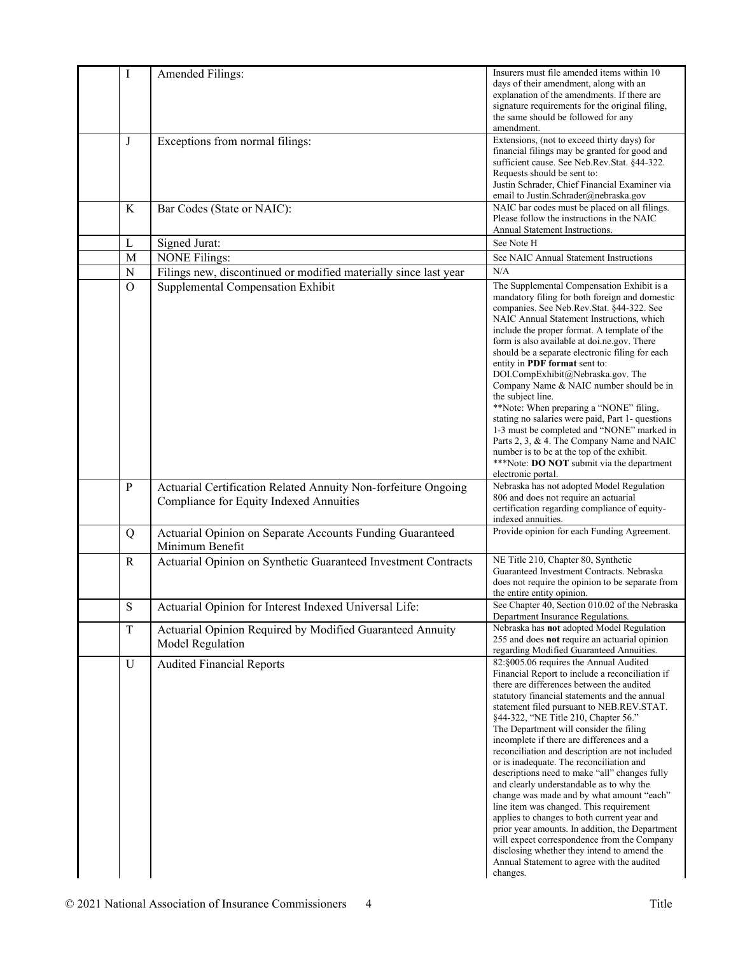| I            | Amended Filings:                                                 | Insurers must file amended items within 10                                                  |
|--------------|------------------------------------------------------------------|---------------------------------------------------------------------------------------------|
|              |                                                                  | days of their amendment, along with an                                                      |
|              |                                                                  | explanation of the amendments. If there are                                                 |
|              |                                                                  | signature requirements for the original filing,                                             |
|              |                                                                  | the same should be followed for any<br>amendment.                                           |
| J            | Exceptions from normal filings:                                  | Extensions, (not to exceed thirty days) for                                                 |
|              |                                                                  | financial filings may be granted for good and                                               |
|              |                                                                  | sufficient cause. See Neb.Rev.Stat. §44-322.                                                |
|              |                                                                  | Requests should be sent to:                                                                 |
|              |                                                                  | Justin Schrader, Chief Financial Examiner via<br>email to Justin.Schrader@nebraska.gov      |
| K            | Bar Codes (State or NAIC):                                       | NAIC bar codes must be placed on all filings.                                               |
|              |                                                                  | Please follow the instructions in the NAIC                                                  |
|              |                                                                  | Annual Statement Instructions.                                                              |
| L            | Signed Jurat:                                                    | See Note H                                                                                  |
| M            | <b>NONE Filings:</b>                                             | See NAIC Annual Statement Instructions                                                      |
| ${\bf N}$    | Filings new, discontinued or modified materially since last year | N/A                                                                                         |
| $\Omega$     | Supplemental Compensation Exhibit                                | The Supplemental Compensation Exhibit is a                                                  |
|              |                                                                  | mandatory filing for both foreign and domestic                                              |
|              |                                                                  | companies. See Neb.Rev.Stat. §44-322. See                                                   |
|              |                                                                  | NAIC Annual Statement Instructions, which                                                   |
|              |                                                                  | include the proper format. A template of the<br>form is also available at doi.ne.gov. There |
|              |                                                                  | should be a separate electronic filing for each                                             |
|              |                                                                  | entity in PDF format sent to:                                                               |
|              |                                                                  | DOI.CompExhibit@Nebraska.gov. The                                                           |
|              |                                                                  | Company Name & NAIC number should be in                                                     |
|              |                                                                  | the subject line.                                                                           |
|              |                                                                  | **Note: When preparing a "NONE" filing,<br>stating no salaries were paid, Part 1- questions |
|              |                                                                  | 1-3 must be completed and "NONE" marked in                                                  |
|              |                                                                  | Parts 2, 3, & 4. The Company Name and NAIC                                                  |
|              |                                                                  | number is to be at the top of the exhibit.                                                  |
|              |                                                                  | ***Note: DO NOT submit via the department                                                   |
|              |                                                                  | electronic portal.                                                                          |
| $\mathbf{P}$ | Actuarial Certification Related Annuity Non-forfeiture Ongoing   | Nebraska has not adopted Model Regulation<br>806 and does not require an actuarial          |
|              | Compliance for Equity Indexed Annuities                          | certification regarding compliance of equity-                                               |
|              |                                                                  | indexed annuities.                                                                          |
| Q            | Actuarial Opinion on Separate Accounts Funding Guaranteed        | Provide opinion for each Funding Agreement.                                                 |
|              | Minimum Benefit                                                  |                                                                                             |
| $\mathbb{R}$ | Actuarial Opinion on Synthetic Guaranteed Investment Contracts   | NE Title 210, Chapter 80, Synthetic                                                         |
|              |                                                                  | Guaranteed Investment Contracts. Nebraska                                                   |
|              |                                                                  | does not require the opinion to be separate from                                            |
|              |                                                                  | the entire entity opinion.                                                                  |
| ${\bf S}$    | Actuarial Opinion for Interest Indexed Universal Life:           | See Chapter 40, Section 010.02 of the Nebraska<br>Department Insurance Regulations.         |
| $\mathbf T$  | Actuarial Opinion Required by Modified Guaranteed Annuity        | Nebraska has not adopted Model Regulation                                                   |
|              |                                                                  | 255 and does not require an actuarial opinion                                               |
|              | Model Regulation                                                 | regarding Modified Guaranteed Annuities.                                                    |
| U            | <b>Audited Financial Reports</b>                                 | 82:§005.06 requires the Annual Audited                                                      |
|              |                                                                  | Financial Report to include a reconciliation if                                             |
|              |                                                                  | there are differences between the audited<br>statutory financial statements and the annual  |
|              |                                                                  | statement filed pursuant to NEB.REV.STAT.                                                   |
|              |                                                                  | §44-322, "NE Title 210, Chapter 56."                                                        |
|              |                                                                  | The Department will consider the filing                                                     |
|              |                                                                  | incomplete if there are differences and a                                                   |
|              |                                                                  | reconciliation and description are not included                                             |
|              |                                                                  | or is inadequate. The reconciliation and                                                    |
|              |                                                                  | descriptions need to make "all" changes fully                                               |
|              |                                                                  | and clearly understandable as to why the<br>change was made and by what amount "each"       |
|              |                                                                  | line item was changed. This requirement                                                     |
|              |                                                                  | applies to changes to both current year and                                                 |
|              |                                                                  | prior year amounts. In addition, the Department                                             |
|              |                                                                  | will expect correspondence from the Company                                                 |
|              |                                                                  | disclosing whether they intend to amend the                                                 |
|              |                                                                  | Annual Statement to agree with the audited<br>changes.                                      |
|              |                                                                  |                                                                                             |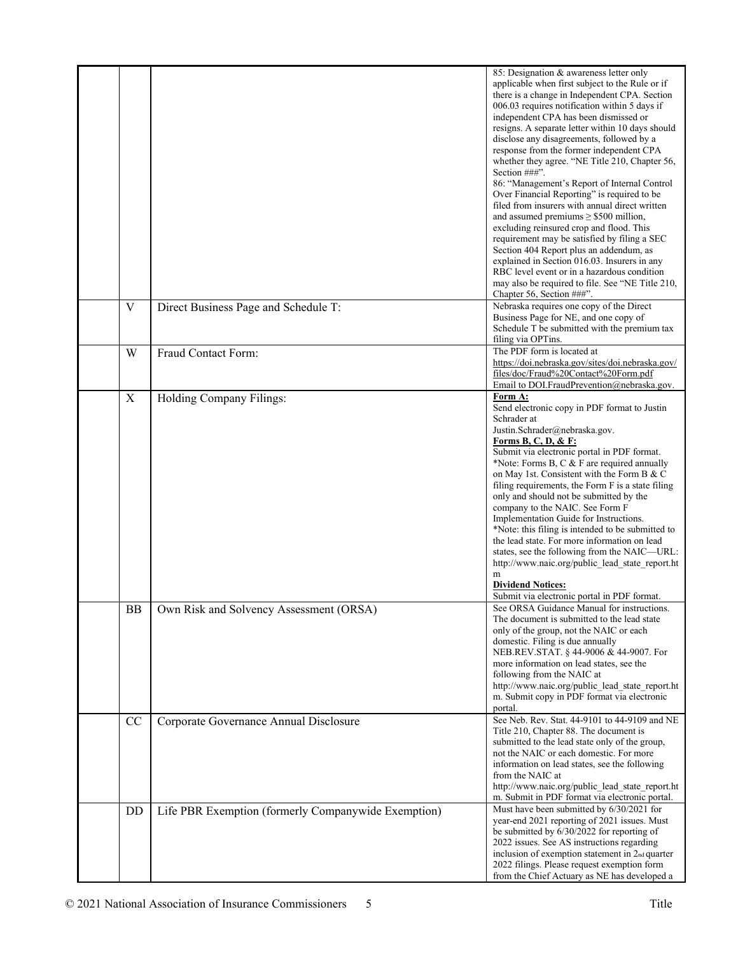|           |                                                     | 85: Designation & awareness letter only<br>applicable when first subject to the Rule or if<br>there is a change in Independent CPA. Section<br>006.03 requires notification within 5 days if<br>independent CPA has been dismissed or<br>resigns. A separate letter within 10 days should<br>disclose any disagreements, followed by a<br>response from the former independent CPA<br>whether they agree. "NE Title 210, Chapter 56,<br>Section ###".<br>86: "Management's Report of Internal Control<br>Over Financial Reporting" is required to be<br>filed from insurers with annual direct written<br>and assumed premiums $\geq$ \$500 million,<br>excluding reinsured crop and flood. This<br>requirement may be satisfied by filing a SEC<br>Section 404 Report plus an addendum, as<br>explained in Section 016.03. Insurers in any<br>RBC level event or in a hazardous condition<br>may also be required to file. See "NE Title 210,<br>Chapter 56, Section ###". |
|-----------|-----------------------------------------------------|-----------------------------------------------------------------------------------------------------------------------------------------------------------------------------------------------------------------------------------------------------------------------------------------------------------------------------------------------------------------------------------------------------------------------------------------------------------------------------------------------------------------------------------------------------------------------------------------------------------------------------------------------------------------------------------------------------------------------------------------------------------------------------------------------------------------------------------------------------------------------------------------------------------------------------------------------------------------------------|
| V         | Direct Business Page and Schedule T:                | Nebraska requires one copy of the Direct<br>Business Page for NE, and one copy of<br>Schedule T be submitted with the premium tax<br>filing via OPTins.                                                                                                                                                                                                                                                                                                                                                                                                                                                                                                                                                                                                                                                                                                                                                                                                                     |
| W         | Fraud Contact Form:                                 | The PDF form is located at<br>https://doi.nebraska.gov/sites/doi.nebraska.gov/<br>files/doc/Fraud%20Contact%20Form.pdf<br>Email to DOI.FraudPrevention@nebraska.gov.                                                                                                                                                                                                                                                                                                                                                                                                                                                                                                                                                                                                                                                                                                                                                                                                        |
| X         | Holding Company Filings:                            | Form A:<br>Send electronic copy in PDF format to Justin<br>Schrader at<br>Justin.Schrader@nebraska.gov.<br>Forms B, C, D, & F:<br>Submit via electronic portal in PDF format.<br>*Note: Forms B, C & F are required annually<br>on May 1st. Consistent with the Form B & C<br>filing requirements, the Form F is a state filing<br>only and should not be submitted by the<br>company to the NAIC. See Form F<br>Implementation Guide for Instructions.<br>*Note: this filing is intended to be submitted to<br>the lead state. For more information on lead<br>states, see the following from the NAIC—URL:<br>http://www.naic.org/public lead state report.ht<br>m<br><b>Dividend Notices:</b><br>Submit via electronic portal in PDF format.                                                                                                                                                                                                                             |
| BB        | Own Risk and Solvency Assessment (ORSA)             | See ORSA Guidance Manual for instructions.<br>The document is submitted to the lead state<br>only of the group, not the NAIC or each<br>domestic. Filing is due annually<br>NEB.REV.STAT. § 44-9006 & 44-9007. For<br>more information on lead states, see the<br>following from the NAIC at<br>http://www.naic.org/public_lead_state_report.ht<br>m. Submit copy in PDF format via electronic<br>portal.                                                                                                                                                                                                                                                                                                                                                                                                                                                                                                                                                                   |
| <b>CC</b> | Corporate Governance Annual Disclosure              | See Neb. Rev. Stat. 44-9101 to 44-9109 and NE<br>Title 210, Chapter 88. The document is<br>submitted to the lead state only of the group,<br>not the NAIC or each domestic. For more<br>information on lead states, see the following<br>from the NAIC at<br>http://www.naic.org/public_lead_state_report.ht<br>m. Submit in PDF format via electronic portal.                                                                                                                                                                                                                                                                                                                                                                                                                                                                                                                                                                                                              |
| DD        | Life PBR Exemption (formerly Companywide Exemption) | Must have been submitted by 6/30/2021 for<br>year-end 2021 reporting of 2021 issues. Must<br>be submitted by 6/30/2022 for reporting of<br>2022 issues. See AS instructions regarding<br>inclusion of exemption statement in 2nd quarter<br>2022 filings. Please request exemption form<br>from the Chief Actuary as NE has developed a                                                                                                                                                                                                                                                                                                                                                                                                                                                                                                                                                                                                                                     |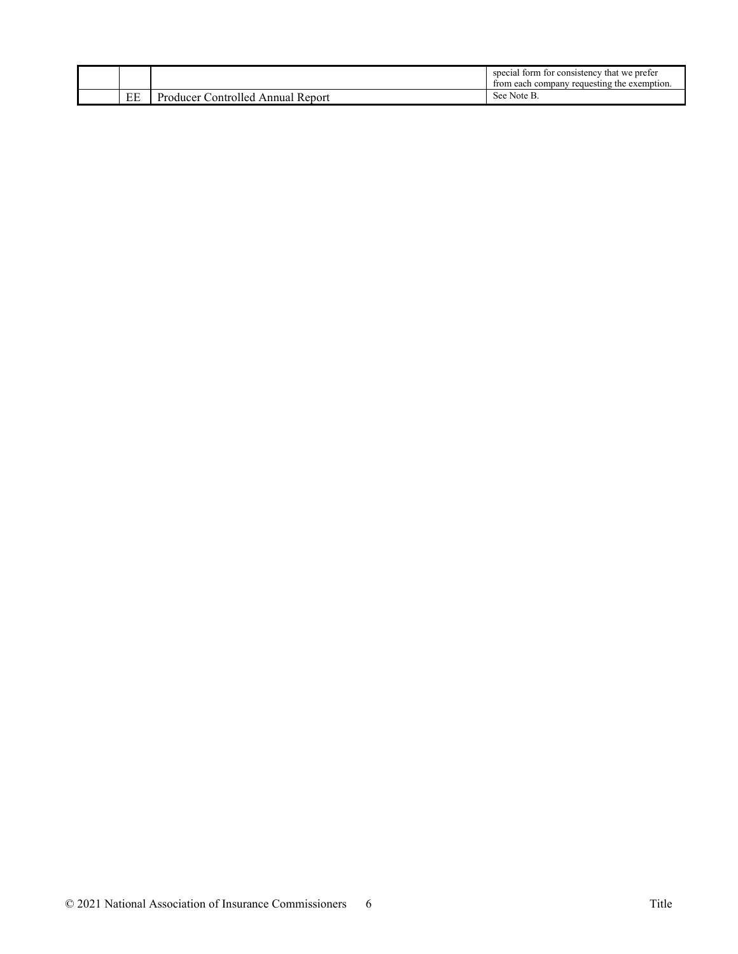|    |                                            | special form for consistency that we prefer<br>from each company requesting the exemption. |
|----|--------------------------------------------|--------------------------------------------------------------------------------------------|
| EE | `ontrolled<br>Producer<br>Report<br>Annuai | See Note B.                                                                                |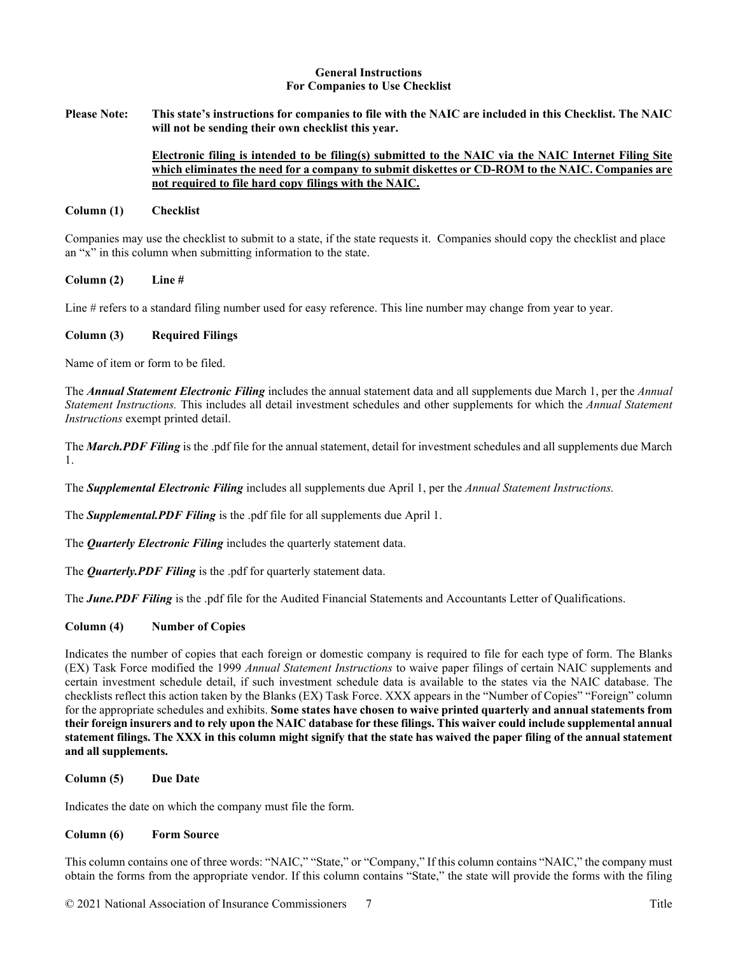#### **General Instructions For Companies to Use Checklist**

**Please Note: This state's instructions for companies to file with the NAIC are included in this Checklist. The NAIC will not be sending their own checklist this year.** 

## **Electronic filing is intended to be filing(s) submitted to the NAIC via the NAIC Internet Filing Site which eliminates the need for a company to submit diskettes or CD-ROM to the NAIC. Companies are not required to file hard copy filings with the NAIC.**

#### **Column (1) Checklist**

Companies may use the checklist to submit to a state, if the state requests it. Companies should copy the checklist and place an "x" in this column when submitting information to the state.

**Column (2) Line #**

Line # refers to a standard filing number used for easy reference. This line number may change from year to year.

#### **Column (3) Required Filings**

Name of item or form to be filed.

The *Annual Statement Electronic Filing* includes the annual statement data and all supplements due March 1, per the *Annual Statement Instructions.* This includes all detail investment schedules and other supplements for which the *Annual Statement Instructions* exempt printed detail.

The *March.PDF Filing* is the .pdf file for the annual statement, detail for investment schedules and all supplements due March 1.

The *Supplemental Electronic Filing* includes all supplements due April 1, per the *Annual Statement Instructions.*

The *Supplemental.PDF Filing* is the .pdf file for all supplements due April 1.

The *Quarterly Electronic Filing* includes the quarterly statement data.

The *Quarterly.PDF Filing* is the .pdf for quarterly statement data.

The *June.PDF Filing* is the .pdf file for the Audited Financial Statements and Accountants Letter of Qualifications.

## **Column (4) Number of Copies**

Indicates the number of copies that each foreign or domestic company is required to file for each type of form. The Blanks (EX) Task Force modified the 1999 *Annual Statement Instructions* to waive paper filings of certain NAIC supplements and certain investment schedule detail, if such investment schedule data is available to the states via the NAIC database. The checklists reflect this action taken by the Blanks (EX) Task Force. XXX appears in the "Number of Copies" "Foreign" column for the appropriate schedules and exhibits. **Some states have chosen to waive printed quarterly and annual statements from their foreign insurers and to rely upon the NAIC database for these filings. This waiver could include supplemental annual statement filings. The XXX in this column might signify that the state has waived the paper filing of the annual statement and all supplements.**

**Column (5) Due Date**

Indicates the date on which the company must file the form.

## **Column (6) Form Source**

This column contains one of three words: "NAIC," "State," or "Company," If this column contains "NAIC," the company must obtain the forms from the appropriate vendor. If this column contains "State," the state will provide the forms with the filing